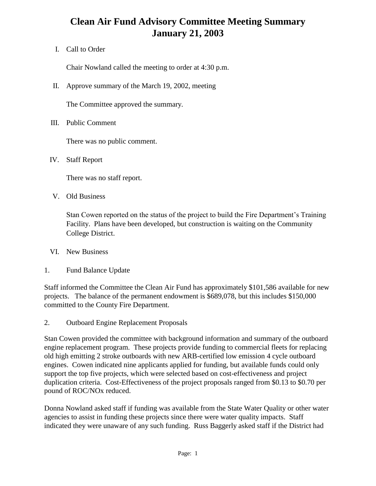## **Clean Air Fund Advisory Committee Meeting Summary January 21, 2003**

I. Call to Order

Chair Nowland called the meeting to order at 4:30 p.m.

II. Approve summary of the March 19, 2002, meeting

The Committee approved the summary.

III. Public Comment

There was no public comment.

IV. Staff Report

There was no staff report.

V. Old Business

Stan Cowen reported on the status of the project to build the Fire Department's Training Facility. Plans have been developed, but construction is waiting on the Community College District.

- VI. New Business
- 1. Fund Balance Update

Staff informed the Committee the Clean Air Fund has approximately \$101,586 available for new projects. The balance of the permanent endowment is \$689,078, but this includes \$150,000 committed to the County Fire Department.

2. Outboard Engine Replacement Proposals

Stan Cowen provided the committee with background information and summary of the outboard engine replacement program. These projects provide funding to commercial fleets for replacing old high emitting 2 stroke outboards with new ARB-certified low emission 4 cycle outboard engines. Cowen indicated nine applicants applied for funding, but available funds could only support the top five projects, which were selected based on cost-effectiveness and project duplication criteria. Cost-Effectiveness of the project proposals ranged from \$0.13 to \$0.70 per pound of ROC/NOx reduced.

Donna Nowland asked staff if funding was available from the State Water Quality or other water agencies to assist in funding these projects since there were water quality impacts. Staff indicated they were unaware of any such funding. Russ Baggerly asked staff if the District had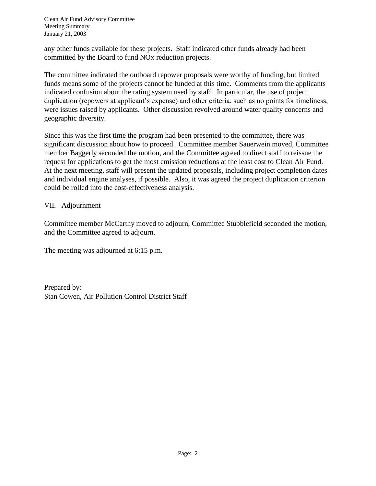Clean Air Fund Advisory Committee Meeting Summary January 21, 2003

any other funds available for these projects. Staff indicated other funds already had been committed by the Board to fund NOx reduction projects.

The committee indicated the outboard repower proposals were worthy of funding, but limited funds means some of the projects cannot be funded at this time. Comments from the applicants indicated confusion about the rating system used by staff. In particular, the use of project duplication (repowers at applicant's expense) and other criteria, such as no points for timeliness, were issues raised by applicants. Other discussion revolved around water quality concerns and geographic diversity.

Since this was the first time the program had been presented to the committee, there was significant discussion about how to proceed. Committee member Sauerwein moved, Committee member Baggerly seconded the motion, and the Committee agreed to direct staff to reissue the request for applications to get the most emission reductions at the least cost to Clean Air Fund. At the next meeting, staff will present the updated proposals, including project completion dates and individual engine analyses, if possible. Also, it was agreed the project duplication criterion could be rolled into the cost-effectiveness analysis.

VII. Adjournment

Committee member McCarthy moved to adjourn, Committee Stubblefield seconded the motion, and the Committee agreed to adjourn.

The meeting was adjourned at 6:15 p.m.

Prepared by: Stan Cowen, Air Pollution Control District Staff